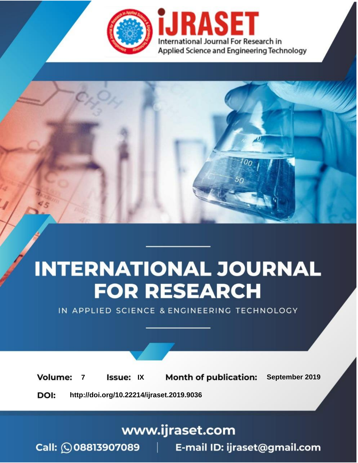

# **INTERNATIONAL JOURNAL FOR RESEARCH**

IN APPLIED SCIENCE & ENGINEERING TECHNOLOGY

**Month of publication: Volume: Issue: IX** September 2019  $\overline{7}$ DOI: http://doi.org/10.22214/ijraset.2019.9036

www.ijraset.com

 $Call: \bigcirc$ 08813907089 E-mail ID: ijraset@gmail.com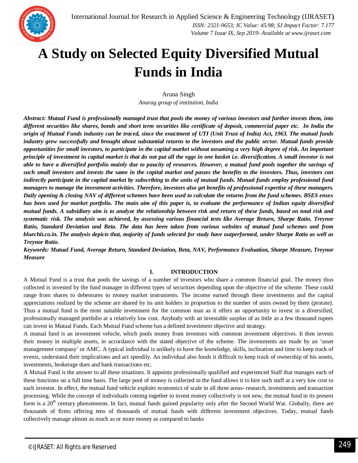## **A Study on Selected Equity Diversified Mutual Funds in India**

Aruna Singh *Anurag group of institution, India*

*Abstract: Mutual Fund is professionally managed trust that pools the money of various investors and further invests them, into different securities like shares, bonds and short term securities like certificate of deposit, commercial paper etc. In India the origin of Mutual Funds industry can be traced, since the enactment of UTI (Unit Trust of India) Act, 1963. The mutual funds industry grew successfully and brought about substantial returns to the investors and the public sector. Mutual funds provide opportunities for small investors, to participate in the capital market without assuming a very high degree of risk. An important principle of investment in capital market is that do not put all the eggs in one basket i.e. diversification. A small investor is not able to have a diversified portfolio mainly due to paucity of resources. However, a mutual fund pools together the savings of such small investors and invests the same in the capital market and passes the benefits to the investors. Thus, investors can indirectly participate in the capital market by subscribing to the units of mutual funds. Mutual funds employ professional fund managers to manage the investment activities. Therefore, investors also get benefits of professional expertise of these managers. Daily opening & closing NAV of different schemes have been used to calculate the returns from the fund schemes. BSES ensex has been used for market portfolio. The main aim of this paper is, to evaluate the performance of Indian equity diversified mutual funds. A subsidiary aim is to analyze the relationship between risk and return of these funds, based on total risk and systematic risk. The analysis was achieved, by assessing various financial tests like Average Return, Sharpe Ratio, Treynor Ratio, Standard Deviation and Beta. The data has been taken from various websites of mutual fund schemes and from bluechit.co.in. The analysis depicts that, majority of funds selected for study have outperformed, under Sharpe Ratio as well as Treynor Ratio.*

*Keywords: Mutual Fund, Average Return, Standard Deviation, Beta, NAV, Performance Evaluation, Sharpe Measure, Treynor Measure*

#### **I. INTRODUCTION**

A Mutual Fund is a trust that pools the savings of a number of investors who share a common financial goal. The money thus collected is invested by the fund manager in different types of securities depending upon the objective of the scheme. These could range from shares to debentures to money market instruments. The income earned through these investments and the capital appreciations realized by the scheme are shared by its unit holders in proportion to the number of units owned by them (prorate). Thus a mutual fund is the most suitable investment for the common man as it offers an opportunity to invest in a diversified, professionally managed portfolio at a relatively low cost. Anybody with an investable surplus of as little as a few thousand rupees can invest in Mutual Funds. Each Mutual Fund scheme has a defined investment objective and strategy.

A mutual fund is an investment vehicle, which pools money from investors with common investment objectives. It then invests their money in multiple assets, in accordance with the stated objective of the scheme. The investments are made by an 'asset management company' or AMC. A typical individual is unlikely to have the knowledge, skills, inclination and time to keep track of events, understand their implications and act speedily. An individual also funds it difficult to keep track of ownership of his assets, investments, brokerage dues and bank transactions etc.

A Mutual Fund is the answer to all these situations. It appoints professionally qualified and experienced Staff that manages each of these functions on a full time basis. The large pool of money is collected in the fund allows it to hire such staff at a very low cost to each investor. In effect, the mutual fund vehicle exploits economics of scale in all three areas- research, investments and transaction processing. While the concept of individuals coming together to invest money collectively is not new, the mutual fund in its present form is a  $20<sup>th</sup>$  century phenomenon. In fact, mutual funds gained popularity only after the Second World War. Globally, there are thousands of firms offering tens of thousands of mutual funds with different investment objectives. Today, mutual funds collectively manage almost as much as or more money as compared to banks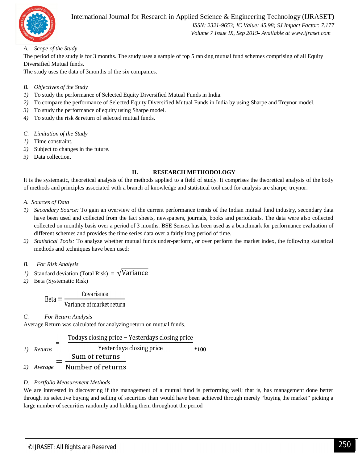

### International Journal for Research in Applied Science & Engineering Technology (IJRASET**)**

 *ISSN: 2321-9653; IC Value: 45.98; SJ Impact Factor: 7.177 Volume 7 Issue IX, Sep 2019- Available at www.ijraset.com*

#### *A. Scope of the Study*

The period of the study is for 3 months. The study uses a sample of top 5 ranking mutual fund schemes comprising of all Equity Diversified Mutual funds.

The study uses the data of 3months of the six companies.

#### *B. Objectives of the Study*

- *1)* To study the performance of Selected Equity Diversified Mutual Funds in India.
- *2)* To compare the performance of Selected Equity Diversified Mutual Funds in India by using Sharpe and Treynor model.
- *3)* To study the performance of equity using Sharpe model.
- *4)* To study the risk & return of selected mutual funds.
- *C. Limitation of the Study*
- *1)* Time constraint.
- *2)* Subject to changes in the future.
- *3)* Data collection.

#### **II. RESEARCH METHODOLOGY**

It is the systematic, theoretical analysis of the methods applied to a field of study. It comprises the theoretical analysis of the body of methods and principles associated with a branch of knowledge and statistical tool used for analysis are sharpe, treynor.

#### *A. Sources of Data*

- *1) Secondary Source:* To gain an overview of the current performance trends of the Indian mutual fund industry, secondary data have been used and collected from the fact sheets, newspapers, journals, books and periodicals. The data were also collected collected on monthly basis over a period of 3 months. BSE Sensex has been used as a benchmark for performance evaluation of different schemes and provides the time series data over a fairly long period of time.
- *2) Statistical Tools:* To analyze whether mutual funds under-perform, or over perform the market index, the following statistical methods and techniques have been used:

#### *B. For Risk Analysis*

- *1*) Standard deviation (Total Risk) =  $\sqrt{\text{Variance}}$
- *2)* Beta (Systematic Risk)

$$
Beta = \frac{Covariance}{Variance of market return}
$$

#### *C. For Return Analysis*

Average Return was calculated for analyzing return on mutual funds.



*1) Returns* **\*100** Sum of returns

Number of returns *2) Average*

#### *D. Portfolio Measurement Methods*

We are interested in discovering if the management of a mutual fund is performing well; that is, has management done better through its selective buying and selling of securities than would have been achieved through merely "buying the market" picking a large number of securities randomly and holding them throughout the period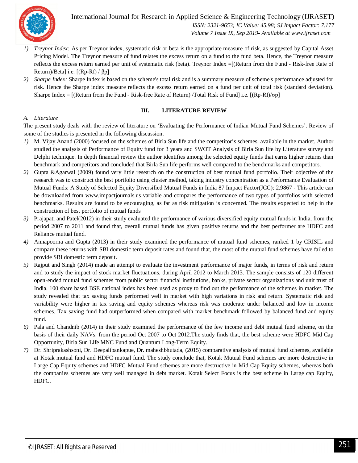

International Journal for Research in Applied Science & Engineering Technology (IJRASET**)**  *ISSN: 2321-9653; IC Value: 45.98; SJ Impact Factor: 7.177 Volume 7 Issue IX, Sep 2019- Available at www.ijraset.com*

- *1) Treynor Index:* As per Treynor index, systematic risk or beta is the appropriate measure of risk, as suggested by Capital Asset Pricing Model. The Treynor measure of fund relates the excess return on a fund to the fund beta. Hence, the Treynor measure reflects the excess return earned per unit of systematic risk (beta). Treynor Index =[(Return from the Fund - Risk-free Rate of Return)/Beta] i.e. [(Rp-Rf) / βp]
- *2) Sharpe Index:* Sharpe Index is based on the scheme's total risk and is a summary measure of scheme's performance adjusted for risk. Hence the Sharpe index measure reflects the excess return earned on a fund per unit of total risk (standard deviation). Sharpe Index = [(Return from the Fund - Risk-free Rate of Return) /Total Risk of Fund] i.e. [(Rp-Rf)/σp]

#### **III. LITERATURE REVIEW**

#### *A. Literature*

The present study deals with the review of literature on 'Evaluating the Performance of Indian Mutual Fund Schemes'. Review of some of the studies is presented in the following discussion.

- *1)* M. Vijay Anand (2000) focused on the schemes of Birla Sun life and the competitor's schemes, available in the market. Author studied the analysis of Performance of Equity fund for 3 years and SWOT Analysis of Birla Sun life by Literature survey and Delphi technique. In depth financial review the author identifies among the selected equity funds that earns higher returns than benchmark and competitors and concluded that Birla Sun life performs well compared to the benchmarks and competitors.
- *2)* Gupta &Agarwal (2009) found very little research on the construction of best mutual fund portfolio. Their objective of the research was to construct the best portfolio using cluster method, taking industry concentration as a Performance Evaluation of Mutual Funds: A Study of Selected Equity Diversified Mutual Funds in India 87 Impact Factor(JCC): 2.9867 - This article can be downloaded from www.impactjournals.us variable and compares the performance of two types of portfolios with selected benchmarks. Results are found to be encouraging, as far as risk mitigation is concerned. The results expected to help in the construction of best portfolio of mutual funds
- *3)* Prajapati and Patel(2012) in their study evaluated the performance of various diversified equity mutual funds in India, from the period 2007 to 2011 and found that, overall mutual funds has given positive returns and the best performer are HDFC and Reliance mutual fund.
- *4)* Annapoorna and Gupta (2013) in their study examined the performance of mutual fund schemes, ranked 1 by CRISIL and compare these returns with SBI domestic term deposit rates and found that, the most of the mutual fund schemes have failed to provide SBI domestic term deposit.
- *5)* Rajput and Singh (2014) made an attempt to evaluate the investment performance of major funds, in terms of risk and return and to study the impact of stock market fluctuations, during April 2012 to March 2013. The sample consists of 120 different open-ended mutual fund schemes from public sector financial institutions, banks, private sector organizations and unit trust of India. 100 share based BSE national index has been used as proxy to find out the performance of the schemes in market. The study revealed that tax saving funds performed well in market with high variations in risk and return. Systematic risk and variability were higher in tax saving and equity schemes whereas risk was moderate under balanced and low in income schemes. Tax saving fund had outperformed when compared with market benchmark followed by balanced fund and equity fund.
- *6)* Pala and Chandnib (2014) in their study examined the performance of the few income and debt mutual fund scheme, on the basis of their daily NAVs. from the period Oct 2007 to Oct 2012.The study finds that, the best scheme were HDFC Mid Cap Opportunity, Birla Sun Life MNC Fund and Quantum Long-Term Equity.
- *7)* Dr. Shriprakashsoni, Dr. Deepalibankapue, Dr. maheshbhutada, (2015) comparative analysis of mutual fund schemes, available at Kotak mutual fund and HDFC mutual fund. The study conclude that, Kotak Mutual Fund schemes are more destructive in Large Cap Equity schemes and HDFC Mutual Fund schemes are more destructive in Mid Cap Equity schemes, whereas both the companies schemes are very well managed in debt market. Kotak Select Focus is the best scheme in Large cap Equity, HDFC.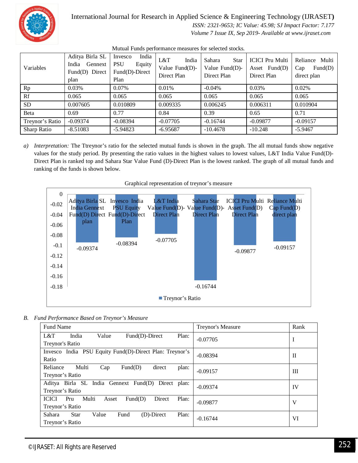

### International Journal for Research in Applied Science & Engineering Technology (IJRASET**)**

 *ISSN: 2321-9653; IC Value: 45.98; SJ Impact Factor: 7.177 Volume 7 Issue IX, Sep 2019- Available at www.ijraset.com*

Mutual Funds performance measures for selected stocks*.* Aditya Birla SL Invesco India PSU Equity Fund(D)-Direct L&T India Value Fund(D)- Direct Plan Sahara Star Value Fund(D)- Direct Plan ICICI Pru Multi Asset Fund(D) Direct Plan Reliance Multi direct plan

| Variables          | India<br>Gennext<br>Fund(D) Direct<br>plan | Equity<br><b>PSU</b><br>$Fund(D)$ -Direct<br>Plan | L&T<br>India<br>Value $Fund(D)$ -<br>Direct Plan | Sahara<br>Star<br>Value Fund(D)-<br>Direct Plan | - ICICI Pru Multi<br>Asset $Fund(D)$<br>Direct Plan | Reliance<br>Multı<br>Fund(D)<br>Cap<br>direct plan |
|--------------------|--------------------------------------------|---------------------------------------------------|--------------------------------------------------|-------------------------------------------------|-----------------------------------------------------|----------------------------------------------------|
| Rp                 | 0.03%                                      | 0.07%                                             | 0.01%                                            | $-0.04%$                                        | 0.03%                                               | 0.02%                                              |
| Rf                 | 0.065                                      | 0.065                                             | 0.065                                            | 0.065                                           | 0.065                                               | 0.065                                              |
| <b>SD</b>          | 0.007605                                   | 0.010809                                          | 0.009335                                         | 0.006245                                        | 0.006311                                            | 0.010904                                           |
| Beta               | 0.69                                       | 0.77                                              | 0.84                                             | 0.39                                            | 0.65                                                | 0.71                                               |
| Treynor's Ratio    | $-0.09374$                                 | $-0.08394$                                        | $-0.07705$                                       | $-0.16744$                                      | $-0.09877$                                          | $-0.09157$                                         |
| <b>Sharp Ratio</b> | $-8.51083$                                 | $-5.94823$                                        | $-6.95687$                                       | $-10.4678$                                      | $-10.248$                                           | $-5.9467$                                          |

*a*) *Interpretation:* The Ttreynor's ratio for the selected mutual funds is shown in the graph. The all mutual funds show negative values for the study period. By presenting the ratio values in the highest values to lowest values, L&T India Value Fund(D)- Direct Plan is ranked top and Sahara Star Value Fund (D)-Direct Plan is the lowest ranked. The graph of all mutual funds and ranking of the funds is shown below.



Graphical representation of treynor's measure

*B. Fund Performance Based on Treynor's Measure*

| <b>Fund Name</b>                                                    | Treynor's Measure | Rank |  |  |  |  |  |
|---------------------------------------------------------------------|-------------------|------|--|--|--|--|--|
| India<br>Fund(D)-Direct<br>Plan:<br>L&T<br>Value                    | $-0.07705$        | 1    |  |  |  |  |  |
| Treynor's Ratio                                                     |                   |      |  |  |  |  |  |
| India PSU Equity Fund(D)-Direct Plan: Treynor's<br>Invesco          | $-0.08394$        | П    |  |  |  |  |  |
| Ratio                                                               |                   |      |  |  |  |  |  |
| Reliance<br>Multi<br>Fund(D)<br>direct<br>plan:<br>Cap              | $-0.09157$        | Ш    |  |  |  |  |  |
| Treynor's Ratio                                                     |                   |      |  |  |  |  |  |
| Aditya Birla SL India Gennext Fund(D)<br>Direct plan:<br>$-0.09374$ |                   |      |  |  |  |  |  |
| Treynor's Ratio                                                     |                   | IV   |  |  |  |  |  |
| Multi<br>Plan:<br><b>ICICI</b><br>Fund(D)<br>Direct<br>Pru<br>Asset | $-0.09877$        | V    |  |  |  |  |  |
| Treynor's Ratio                                                     |                   |      |  |  |  |  |  |
| Sahara<br>(D)-Direct<br>Plan:<br><b>Star</b><br>Value<br>Fund       | $-0.16744$        | VI   |  |  |  |  |  |
| Treynor's Ratio                                                     |                   |      |  |  |  |  |  |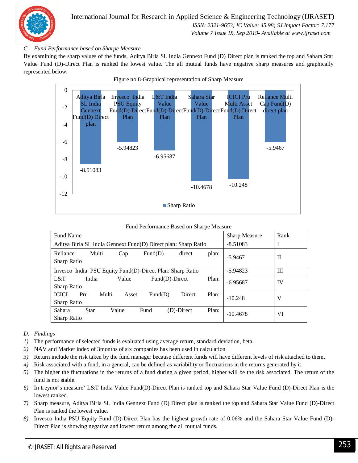

#### *C. Fund Performance based on Sharpe Measure*

By examining the sharp values of the funds, Aditya Birla SL India Gennext Fund (D) Direct plan is ranked the top and Sahara Star Value Fund (D)-Direct Plan is ranked the lowest value. The all mutual funds have negative sharp measures and graphically represented below.



#### Fund Performance Based on Sharpe Measure

| <b>Fund Name</b>                                               |                |                   |            |       | Sharp Measure | Rank |
|----------------------------------------------------------------|----------------|-------------------|------------|-------|---------------|------|
| Aditya Birla SL India Gennext Fund(D) Direct plan: Sharp Ratio |                | $-8.51083$        | I          |       |               |      |
| Reliance<br>Multi<br>Sharp Ratio                               | Cap            | Fund(D)           | direct     | plan: | $-5.9467$     | H    |
| Invesco India PSU Equity Fund(D)-Direct Plan: Sharp Ratio      |                | $-5.94823$        | Ш          |       |               |      |
| L&T<br>India<br>Sharp Ratio                                    | Value          | $Fund(D)$ -Direct |            | Plan: | $-6.95687$    | IV   |
| <b>ICICI</b><br>Pru<br><b>Sharp Ratio</b>                      | Multi<br>Asset | Fund(D)           | Direct     | Plan: | $-10.248$     | V    |
| Sahara<br>Star<br><b>Sharp Ratio</b>                           | Value          | Fund              | (D)-Direct | Plan: | $-10.4678$    | VI   |

#### *D. Findings*

- *1)* The performance of selected funds is evaluated using average return, standard deviation, beta.
- *2)* NAV and Market index of 3months of six companies has been used in calculation
- *3)* Return include the risk taken by the fund manager because different funds will have different levels of risk attached to them.
- *4)* Risk associated with a fund, in a general, can be defined as variability or fluctuations in the returns generated by it.
- *5)* The higher the fluctuations in the returns of a fund during a given period, higher will be the risk associated. The return of the fund is not stable.
- *6)* In treynor's measure' L&T India Value Fund(D)-Direct Plan is ranked top and Sahara Star Value Fund (D)-Direct Plan is the lowest ranked.
- *7)* Sharp measure, Aditya Birla SL India Gennext Fund (D) Direct plan is ranked the top and Sahara Star Value Fund (D)-Direct Plan is ranked the lowest value.
- *8)* Invesco India PSU Equity Fund (D)-Direct Plan has the highest growth rate of 0.06% and the Sahara Star Value Fund (D)- Direct Plan is showing negative and lowest return among the all mutual funds.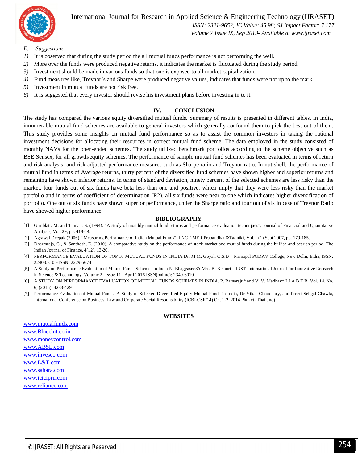

International Journal for Research in Applied Science & Engineering Technology (IJRASET**)**

 *ISSN: 2321-9653; IC Value: 45.98; SJ Impact Factor: 7.177*

 *Volume 7 Issue IX, Sep 2019- Available at www.ijraset.com*

- *E. Suggestions*
- *1)* It is observed that during the study period the all mutual funds performance is not performing the well.
- *2)* More over the funds were produced negative returns, it indicates the market is fluctuated during the study period.
- *3)* Investment should be made in various funds so that one is exposed to all market capitalization.
- *4)* Fund measures like, Treynor's and Sharpe were produced negative values, indicates that funds were not up to the mark.
- *5)* Investment in mutual funds are not risk free.
- *6)* It is suggested that every investor should revise his investment plans before investing in to it.

#### **IV. CONCLUSION**

The study has compared the various equity diversified mutual funds. Summary of results is presented in different tables. In India, innumerable mutual fund schemes are available to general investors which generally confound them to pick the best out of them. This study provides some insights on mutual fund performance so as to assist the common investors in taking the rational investment decisions for allocating their resources in correct mutual fund scheme. The data employed in the study consisted of monthly NAVs for the open-ended schemes. The study utilized benchmark portfolios according to the scheme objective such as BSE Sensex, for all growth/equity schemes. The performance of sample mutual fund schemes has been evaluated in terms of return and risk analysis, and risk adjusted performance measures such as Sharpe ratio and Treynor ratio. In nut shell, the performance of mutual fund in terms of Average returns, thirty percent of the diversified fund schemes have shown higher and superior returns and remaining have shown inferior returns. In terms of standard deviation, ninety percent of the selected schemes are less risky than the market. four funds out of six funds have beta less than one and positive, which imply that they were less risky than the market portfolio and in terms of coefficient of determination (R2), all six funds were near to one which indicates higher diversification of portfolio. One out of six funds have shown superior performance, under the Sharpe ratio and four out of six in case of Treynor Ratio have showed higher performance

#### **BIBLIOGRAPHY**

- [1] Grinblatt, M. and Titman, S. (1994). "A study of monthly mutual fund returns and performance evaluation techniques", Journal of Financial and Quantitative Analysis, Vol. 29, pp. 418-44.
- [2] Agrawal Deepak (2006), "Measuring Performance of Indian Mutual Funds", LNCT-MER Prabandhan&Taqniki, Vol. I (1) Sept 2007, pp. 179-185.
- [3] Dharmraja, C., & Santhosh, E. (2010). A comparative study on the performance of stock market and mutual funds during the bullish and bearish period. The Indian Journal of Finance, 4(12), 13-20.
- [4] PERFORMANCE EVALUATION OF TOP 10 MUTUAL FUNDS IN INDIA Dr. M.M. Goyal, O.S.D Principal PGDAV College, New Delhi, India, ISSN: 2240-0310 EISSN: 2229-5674
- [5] A Study on Performance Evaluation of Mutual Funds Schemes in India N. Bhagyasree& Mrs. B. Kishori IJIRST–International Journal for Innovative Research in Science & Technology| Volume 2 | Issue 11 | April 2016 ISSN(online): 2349-6010
- [6] A STUDY ON PERFORMANCE EVALUATION OF MUTUAL FUNDS SCHEMES IN INDIA. P. Ratnaraju\* and V. V. Madhav\* I J A B E R, Vol. 14, No. 6, (2016): 4283-4291
- [7] Performance Evaluation of Mutual Funds: A Study of Selected Diversified Equity Mutual Funds in India, Dr Vikas Choudhary, and Preeti Sehgal Chawla, International Conference on Business, Law and Corporate Social Responsibility (ICBLCSR'14) Oct 1-2, 2014 Phuket (Thailand)

#### **WEBSITES**

www.mutualfunds.com www.Bluechit.co.in www.moneycontrol.com www.ABSL.com www.invesco.com www.L&T.com www.sahara.com www.icicipru.com www.reliance.com